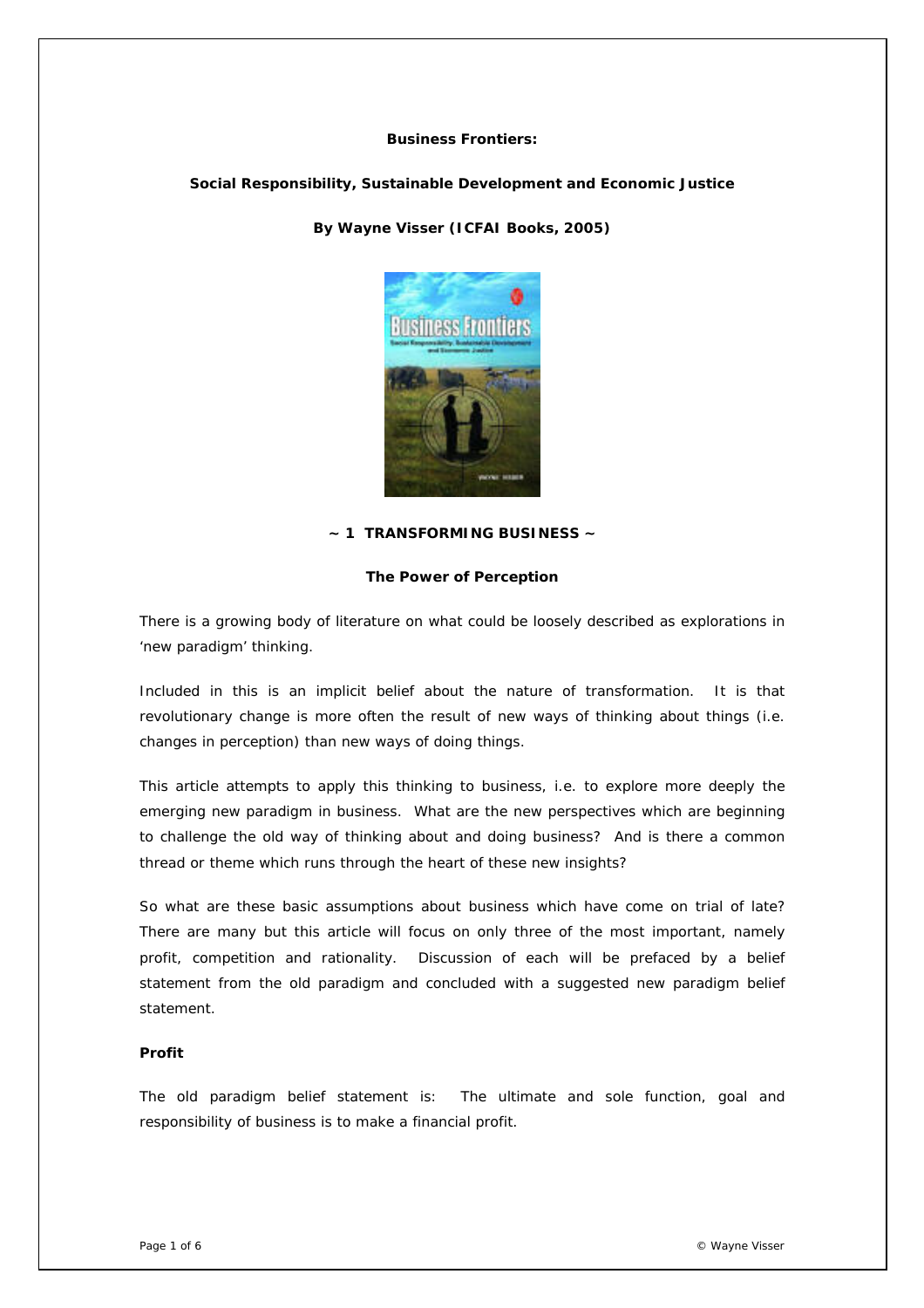## **Business Frontiers:**

## **Social Responsibility, Sustainable Development and Economic Justice**

*By Wayne Visser (ICFAI Books, 2005)* 



## **~ 1 TRANSFORMING BUSINESS ~**

## **The Power of Perception**

There is a growing body of literature on what could be loosely described as explorations in 'new paradigm' thinking.

Included in this is an implicit belief about the nature of transformation. It is that revolutionary change is more often the result of new ways of thinking about things (i.e. changes in perception) than new ways of doing things.

This article attempts to apply this thinking to business, i.e. to explore more deeply the emerging new paradigm in business. What are the new perspectives which are beginning to challenge the old way of thinking about and doing business? And is there a common thread or theme which runs through the heart of these new insights?

So what are these basic assumptions about business which have come on trial of late? There are many but this article will focus on only three of the most important, namely profit, competition and rationality. Discussion of each will be prefaced by a belief statement from the old paradigm and concluded with a suggested new paradigm belief statement.

# *Profit*

The old paradigm belief statement is: *The ultimate and sole function, goal and responsibility of business is to make a financial profit*.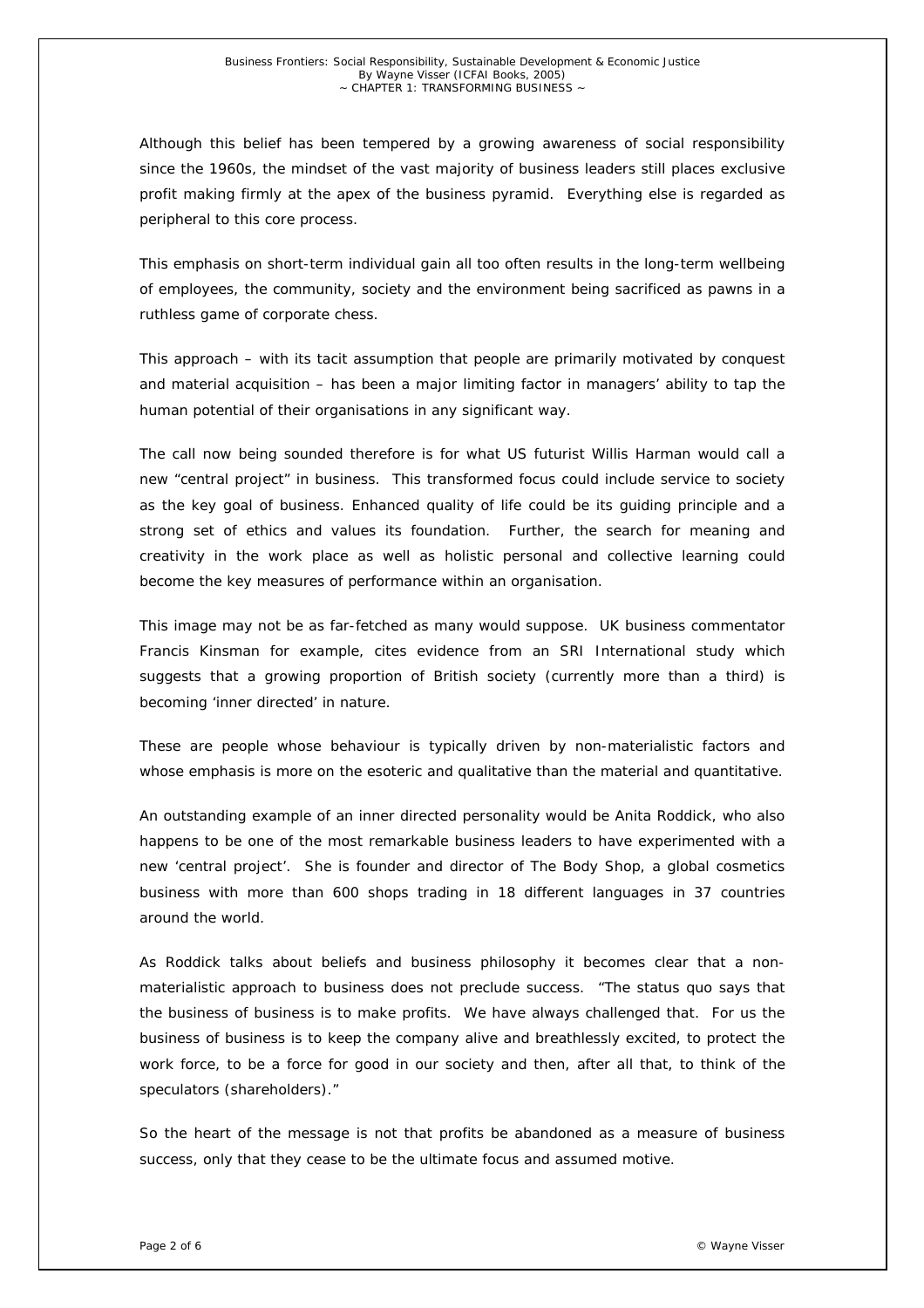Although this belief has been tempered by a growing awareness of social responsibility since the 1960s, the mindset of the vast majority of business leaders still places exclusive profit making firmly at the apex of the business pyramid. Everything else is regarded as peripheral to this core process.

This emphasis on short-term individual gain all too often results in the long-term wellbeing of employees, the community, society and the environment being sacrificed as pawns in a ruthless game of corporate chess.

This approach – with its tacit assumption that people are primarily motivated by conquest and material acquisition – has been a major limiting factor in managers' ability to tap the human potential of their organisations in any significant way.

The call now being sounded therefore is for what US futurist Willis Harman would call a new "central project" in business. This transformed focus could include service to society as the key goal of business. Enhanced quality of life could be its guiding principle and a strong set of ethics and values its foundation. Further, the search for meaning and creativity in the work place as well as holistic personal and collective learning could become the key measures of performance within an organisation.

This image may not be as far-fetched as many would suppose. UK business commentator Francis Kinsman for example, cites evidence from an SRI International study which suggests that a growing proportion of British society (currently more than a third) is becoming 'inner directed' in nature.

These are people whose behaviour is typically driven by non-materialistic factors and whose emphasis is more on the esoteric and qualitative than the material and quantitative.

An outstanding example of an inner directed personality would be Anita Roddick, who also happens to be one of the most remarkable business leaders to have experimented with a new 'central project'. She is founder and director of The Body Shop, a global cosmetics business with more than 600 shops trading in 18 different languages in 37 countries around the world.

As Roddick talks about beliefs and business philosophy it becomes clear that a nonmaterialistic approach to business does not preclude success. "The status quo says that the business of business is to make profits. We have always challenged that. For us the business of business is to keep the company alive and breathlessly excited, to protect the work force, to be a force for good in our society and then, after all that, to think of the speculators (shareholders)."

So the heart of the message is not that profits be abandoned as a measure of business success, only that they cease to be the ultimate focus and assumed motive.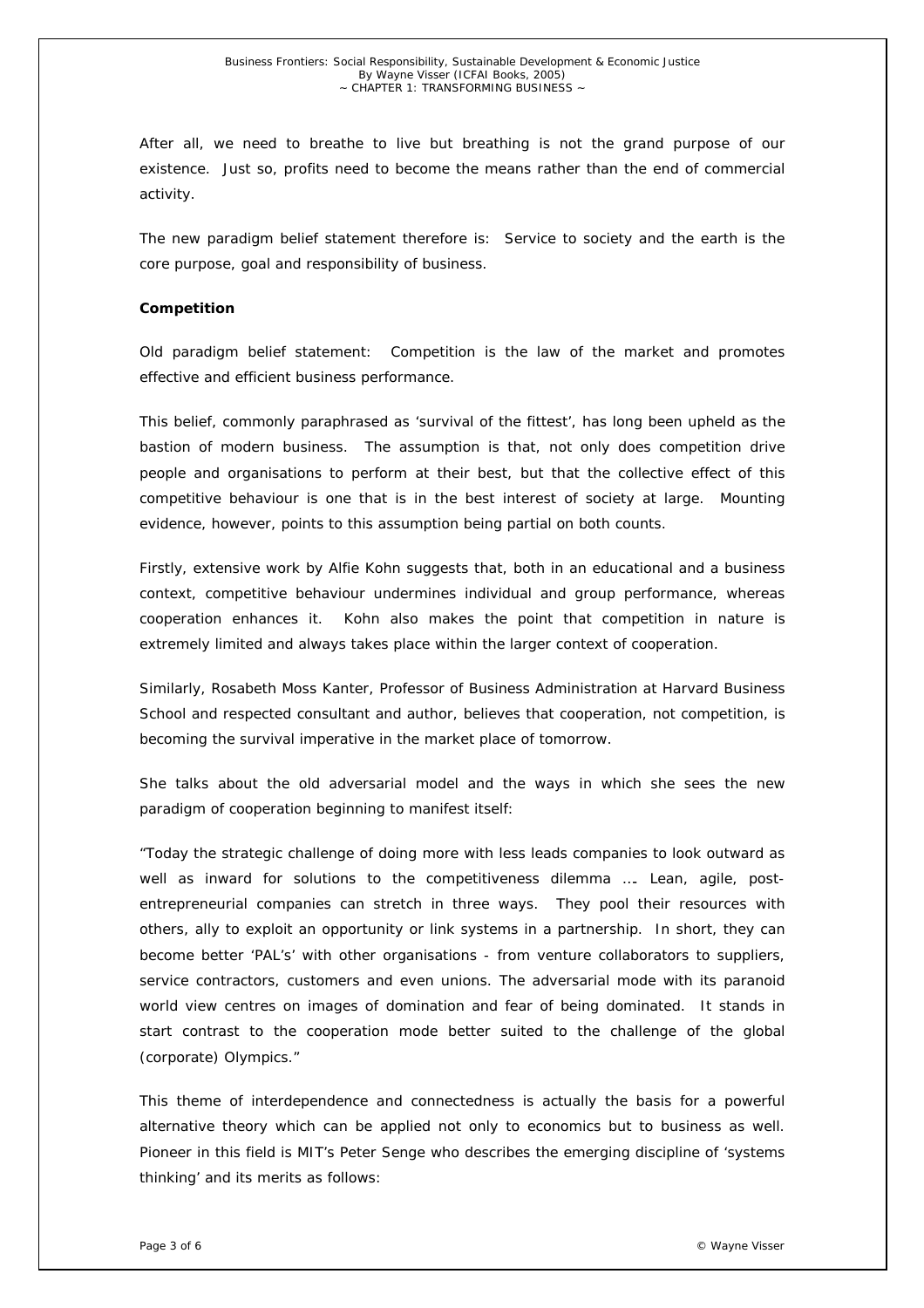After all, we need to breathe to live but breathing is not the grand purpose of our existence. Just so, profits need to become the means rather than the end of commercial activity.

The new paradigm belief statement therefore is: *Service to society and the earth is the core purpose, goal and responsibility of business*.

#### *Competition*

Old paradigm belief statement: *Competition is the law of the market and promotes effective and efficient business performance*.

This belief, commonly paraphrased as 'survival of the fittest', has long been upheld as the bastion of modern business. The assumption is that, not only does competition drive people and organisations to perform at their best, but that the collective effect of this competitive behaviour is one that is in the best interest of society at large. Mounting evidence, however, points to this assumption being partial on both counts.

Firstly, extensive work by Alfie Kohn suggests that, both in an educational and a business context, competitive behaviour undermines individual and group performance, whereas cooperation enhances it. Kohn also makes the point that competition in nature is extremely limited and always takes place within the larger context of cooperation.

Similarly, Rosabeth Moss Kanter, Professor of Business Administration at Harvard Business School and respected consultant and author, believes that cooperation, not competition, is becoming the survival imperative in the market place of tomorrow.

She talks about the old adversarial model and the ways in which she sees the new paradigm of cooperation beginning to manifest itself:

"Today the strategic challenge of doing more with less leads companies to look outward as well as inward for solutions to the competitiveness dilemma .... Lean, agile, postentrepreneurial companies can stretch in three ways. They pool their resources with others, ally to exploit an opportunity or link systems in a partnership. In short, they can become better 'PAL's' with other organisations - from venture collaborators to suppliers, service contractors, customers and even unions. The adversarial mode with its paranoid world view centres on images of domination and fear of being dominated. It stands in start contrast to the cooperation mode better suited to the challenge of the global (corporate) Olympics."

This theme of interdependence and connectedness is actually the basis for a powerful alternative theory which can be applied not only to economics but to business as well. Pioneer in this field is MIT's Peter Senge who describes the emerging discipline of 'systems thinking' and its merits as follows: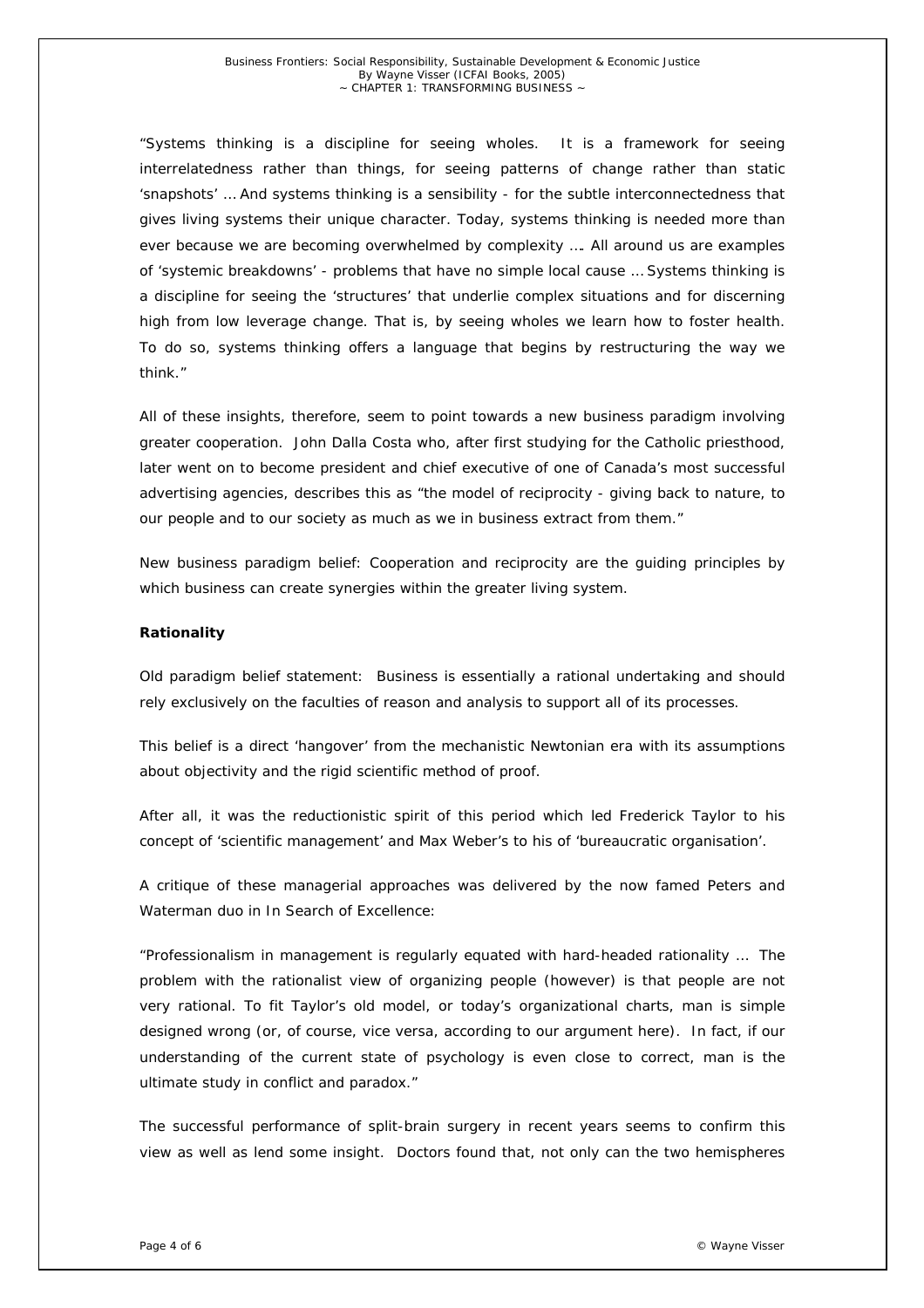"Systems thinking is a discipline for seeing wholes. It is a framework for seeing interrelatedness rather than things, for seeing patterns of change rather than static 'snapshots' … And systems thinking is a sensibility - for the subtle interconnectedness that gives living systems their unique character. Today, systems thinking is needed more than ever because we are becoming overwhelmed by complexity …. All around us are examples of 'systemic breakdowns' - problems that have no simple local cause … Systems thinking is a discipline for seeing the 'structures' that underlie complex situations and for discerning high from low leverage change. That is, by seeing wholes we learn how to foster health. To do so, systems thinking offers a language that begins by restructuring the way we think."

All of these insights, therefore, seem to point towards a new business paradigm involving greater cooperation. John Dalla Costa who, after first studying for the Catholic priesthood, later went on to become president and chief executive of one of Canada's most successful advertising agencies, describes this as "the model of reciprocity - giving back to nature, to our people and to our society as much as we in business extract from them."

New business paradigm belief: *Cooperation and reciprocity are the guiding principles by which business can create synergies within the greater living system*.

## *Rationality*

Old paradigm belief statement: *Business is essentially a rational undertaking and should rely exclusively on the faculties of reason and analysis to support all of its processes*.

This belief is a direct 'hangover' from the mechanistic Newtonian era with its assumptions about objectivity and the rigid scientific method of proof.

After all, it was the reductionistic spirit of this period which led Frederick Taylor to his concept of 'scientific management' and Max Weber's to his of 'bureaucratic organisation'.

A critique of these managerial approaches was delivered by the now famed Peters and Waterman duo in *In Search of Excellence*:

"Professionalism in management is regularly equated with hard-headed rationality … The problem with the rationalist view of organizing people (however) is that people are not very rational. To fit Taylor's old model, or today's organizational charts, man is simple designed wrong (or, of course, vice versa, according to our argument here). In fact, if our understanding of the current state of psychology is even close to correct, man is the ultimate study in conflict and paradox."

The successful performance of split-brain surgery in recent years seems to confirm this view as well as lend some insight. Doctors found that, not only can the two hemispheres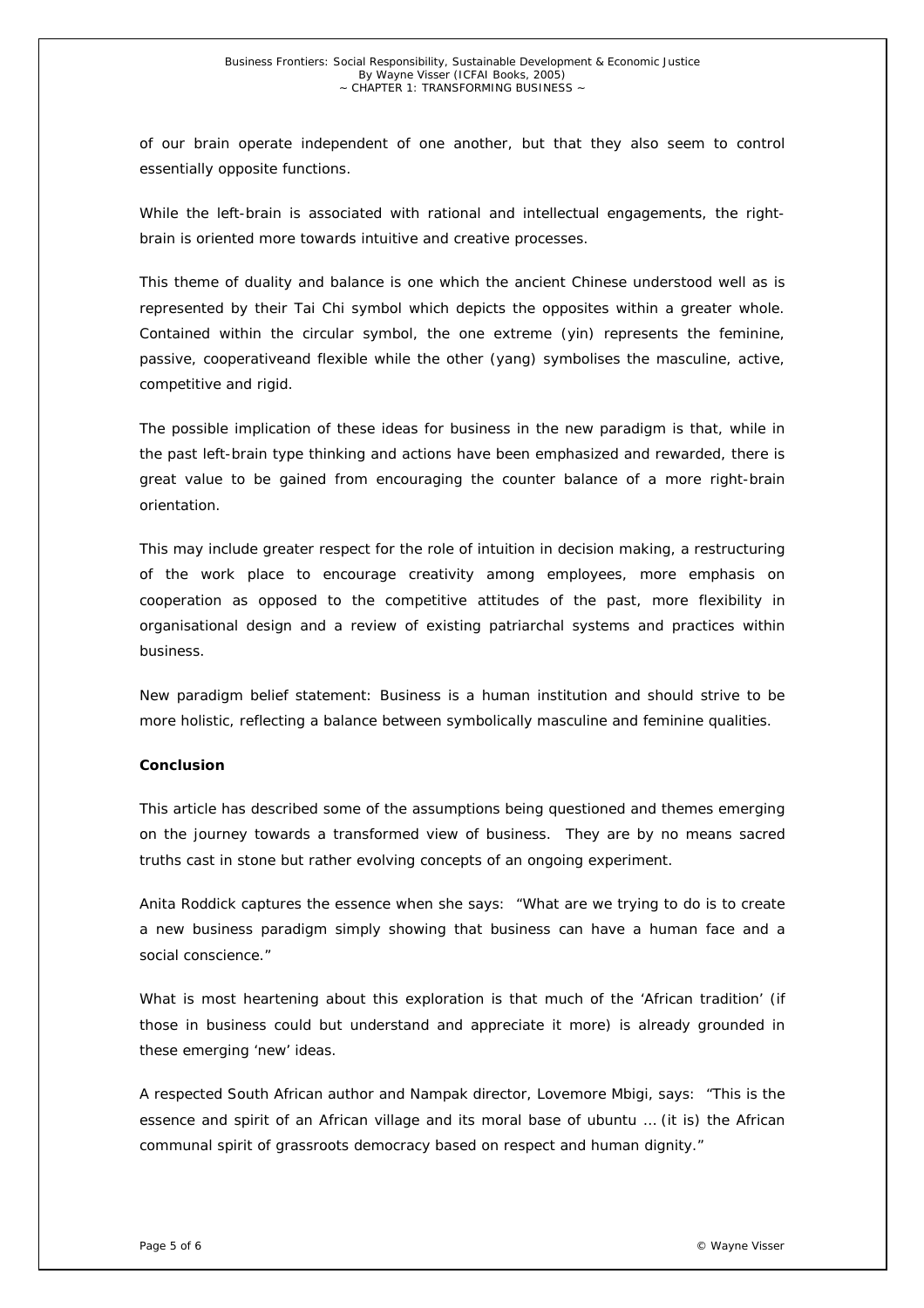of our brain operate independent of one another, but that they also seem to control essentially opposite functions.

While the left-brain is associated with rational and intellectual engagements, the rightbrain is oriented more towards intuitive and creative processes.

This theme of duality and balance is one which the ancient Chinese understood well as is represented by their Tai Chi symbol which depicts the opposites within a greater whole. Contained within the circular symbol, the one extreme (*yin*) represents the feminine, passive, cooperativeand flexible while the other (*yang*) symbolises the masculine, active, competitive and rigid.

The possible implication of these ideas for business in the new paradigm is that, while in the past left-brain type thinking and actions have been emphasized and rewarded, there is great value to be gained from encouraging the counter balance of a more right-brain orientation.

This may include greater respect for the role of intuition in decision making, a restructuring of the work place to encourage creativity among employees, more emphasis on cooperation as opposed to the competitive attitudes of the past, more flexibility in organisational design and a review of existing patriarchal systems and practices within business.

New paradigm belief statement: *Business is a human institution and should strive to be more holistic, reflecting a balance between symbolically masculine and feminine qualities*.

## *Conclusion*

This article has described some of the assumptions being questioned and themes emerging on the journey towards a transformed view of business. They are by no means sacred truths cast in stone but rather evolving concepts of an ongoing experiment.

Anita Roddick captures the essence when she says: "What are we trying to do is to create a new business paradigm simply showing that business can have a human face and a social conscience."

What is most heartening about this exploration is that much of the 'African tradition' (if those in business could but understand and appreciate it more) is already grounded in these emerging 'new' ideas.

A respected South African author and Nampak director, Lovemore Mbigi, says: "This is the essence and spirit of an African village and its moral base of *ubuntu* … (it is) the African communal spirit of grassroots democracy based on respect and human dignity."